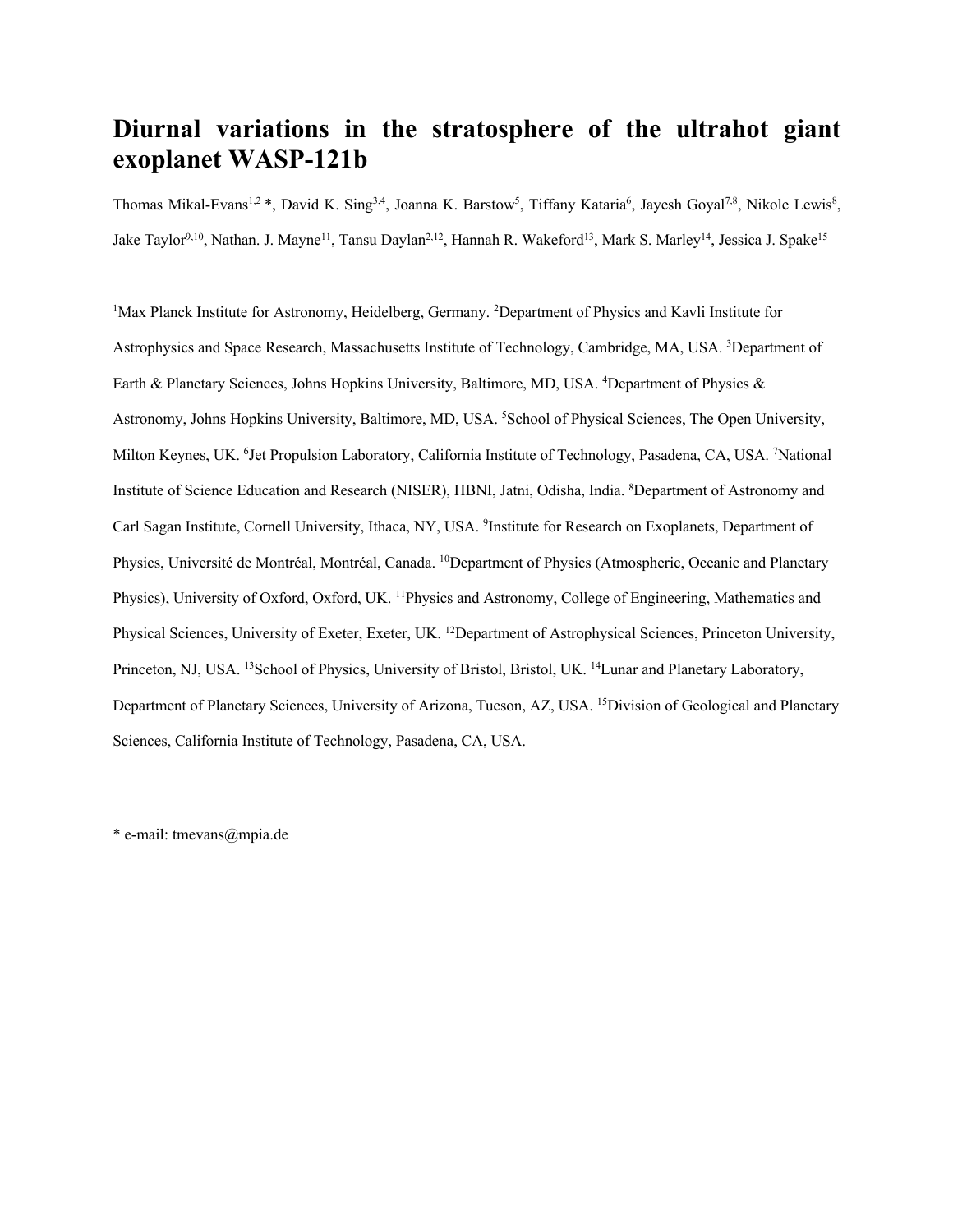# **Diurnal variations in the stratosphere of the ultrahot giant exoplanet WASP-121b**

Thomas Mikal-Evans<sup>1,2</sup> \*, David K. Sing<sup>3,4</sup>, Joanna K. Barstow<sup>5</sup>, Tiffany Kataria<sup>6</sup>, Jayesh Goyal<sup>7,8</sup>, Nikole Lewis<sup>8</sup>, Jake Taylor<sup>9,10</sup>, Nathan. J. Mayne<sup>11</sup>, Tansu Daylan<sup>2,12</sup>, Hannah R. Wakeford<sup>13</sup>, Mark S. Marley<sup>14</sup>, Jessica J. Spake<sup>15</sup>

<sup>1</sup>Max Planck Institute for Astronomy, Heidelberg, Germany. <sup>2</sup>Department of Physics and Kavli Institute for Astrophysics and Space Research, Massachusetts Institute of Technology, Cambridge, MA, USA. <sup>3</sup>Department of Earth & Planetary Sciences, Johns Hopkins University, Baltimore, MD, USA. <sup>4</sup>Department of Physics & Astronomy, Johns Hopkins University, Baltimore, MD, USA. <sup>5</sup>School of Physical Sciences, The Open University, Milton Keynes, UK. <sup>6</sup>Jet Propulsion Laboratory, California Institute of Technology, Pasadena, CA, USA. <sup>7</sup>National Institute of Science Education and Research (NISER), HBNI, Jatni, Odisha, India. <sup>8</sup>Department of Astronomy and Carl Sagan Institute, Cornell University, Ithaca, NY, USA. <sup>9</sup>Institute for Research on Exoplanets, Department of Physics, Université de Montréal, Montréal, Canada. 10Department of Physics (Atmospheric, Oceanic and Planetary Physics), University of Oxford, Oxford, UK. <sup>11</sup>Physics and Astronomy, College of Engineering, Mathematics and Physical Sciences, University of Exeter, Exeter, UK. <sup>12</sup>Department of Astrophysical Sciences, Princeton University, Princeton, NJ, USA. <sup>13</sup>School of Physics, University of Bristol, Bristol, UK. <sup>14</sup>Lunar and Planetary Laboratory, Department of Planetary Sciences, University of Arizona, Tucson, AZ, USA. <sup>15</sup>Division of Geological and Planetary Sciences, California Institute of Technology, Pasadena, CA, USA.

\* e-mail: tmevans@mpia.de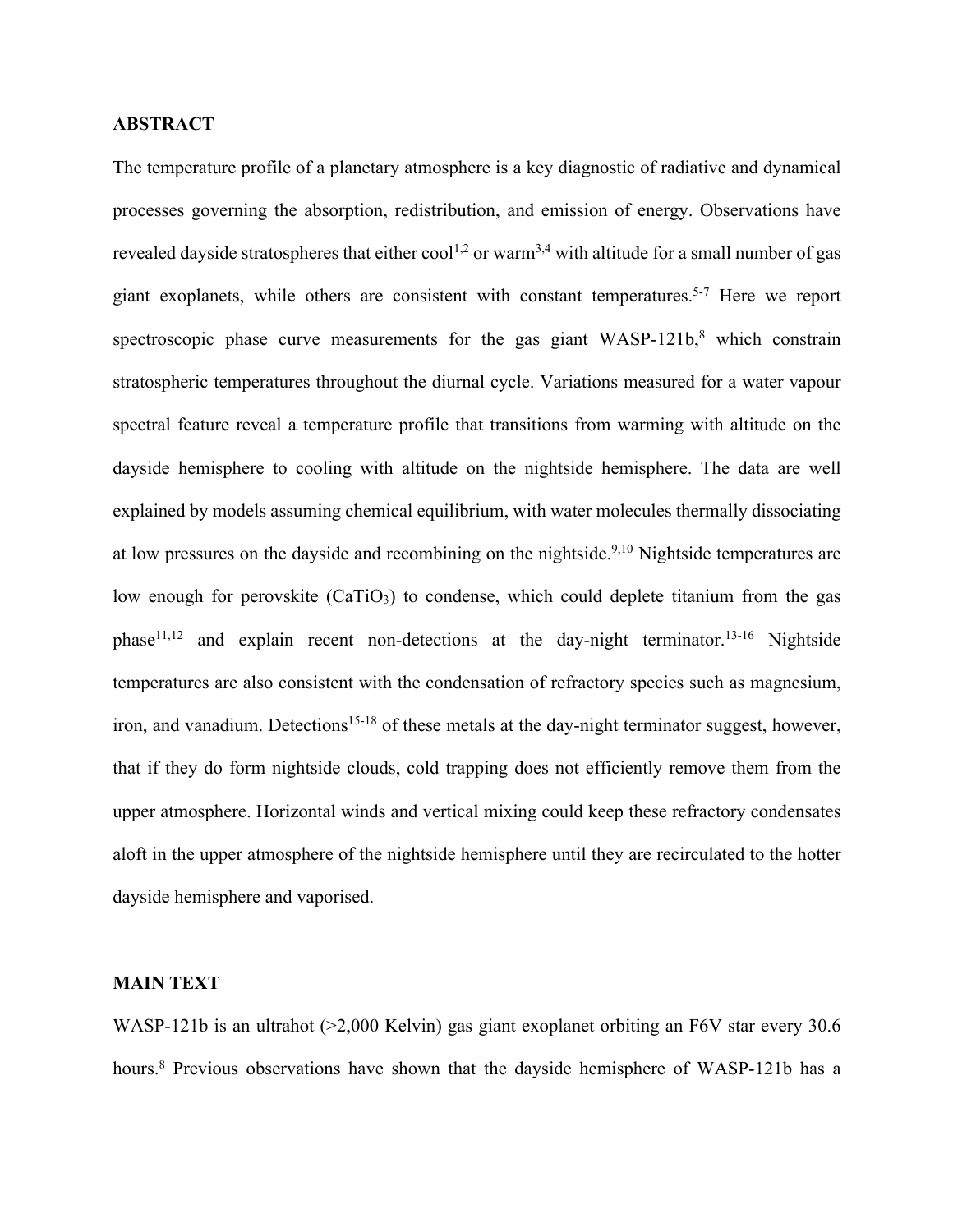#### **ABSTRACT**

The temperature profile of a planetary atmosphere is a key diagnostic of radiative and dynamical processes governing the absorption, redistribution, and emission of energy. Observations have revealed dayside stratospheres that either  $\text{cool}^{1,2}$  or warm<sup>3,4</sup> with altitude for a small number of gas giant exoplanets, while others are consistent with constant temperatures.5-7 Here we report spectroscopic phase curve measurements for the gas giant  $WASP-121b$ ,<sup>8</sup> which constrain stratospheric temperatures throughout the diurnal cycle. Variations measured for a water vapour spectral feature reveal a temperature profile that transitions from warming with altitude on the dayside hemisphere to cooling with altitude on the nightside hemisphere. The data are well explained by models assuming chemical equilibrium, with water molecules thermally dissociating at low pressures on the dayside and recombining on the nightside.<sup>9,10</sup> Nightside temperatures are low enough for perovskite  $(CaTiO<sub>3</sub>)$  to condense, which could deplete titanium from the gas phase<sup>11,12</sup> and explain recent non-detections at the day-night terminator.<sup>13-16</sup> Nightside temperatures are also consistent with the condensation of refractory species such as magnesium, iron, and vanadium. Detections<sup>15-18</sup> of these metals at the day-night terminator suggest, however, that if they do form nightside clouds, cold trapping does not efficiently remove them from the upper atmosphere. Horizontal winds and vertical mixing could keep these refractory condensates aloft in the upper atmosphere of the nightside hemisphere until they are recirculated to the hotter dayside hemisphere and vaporised.

## **MAIN TEXT**

WASP-121b is an ultrahot (>2,000 Kelvin) gas giant exoplanet orbiting an F6V star every 30.6 hours.<sup>8</sup> Previous observations have shown that the dayside hemisphere of WASP-121b has a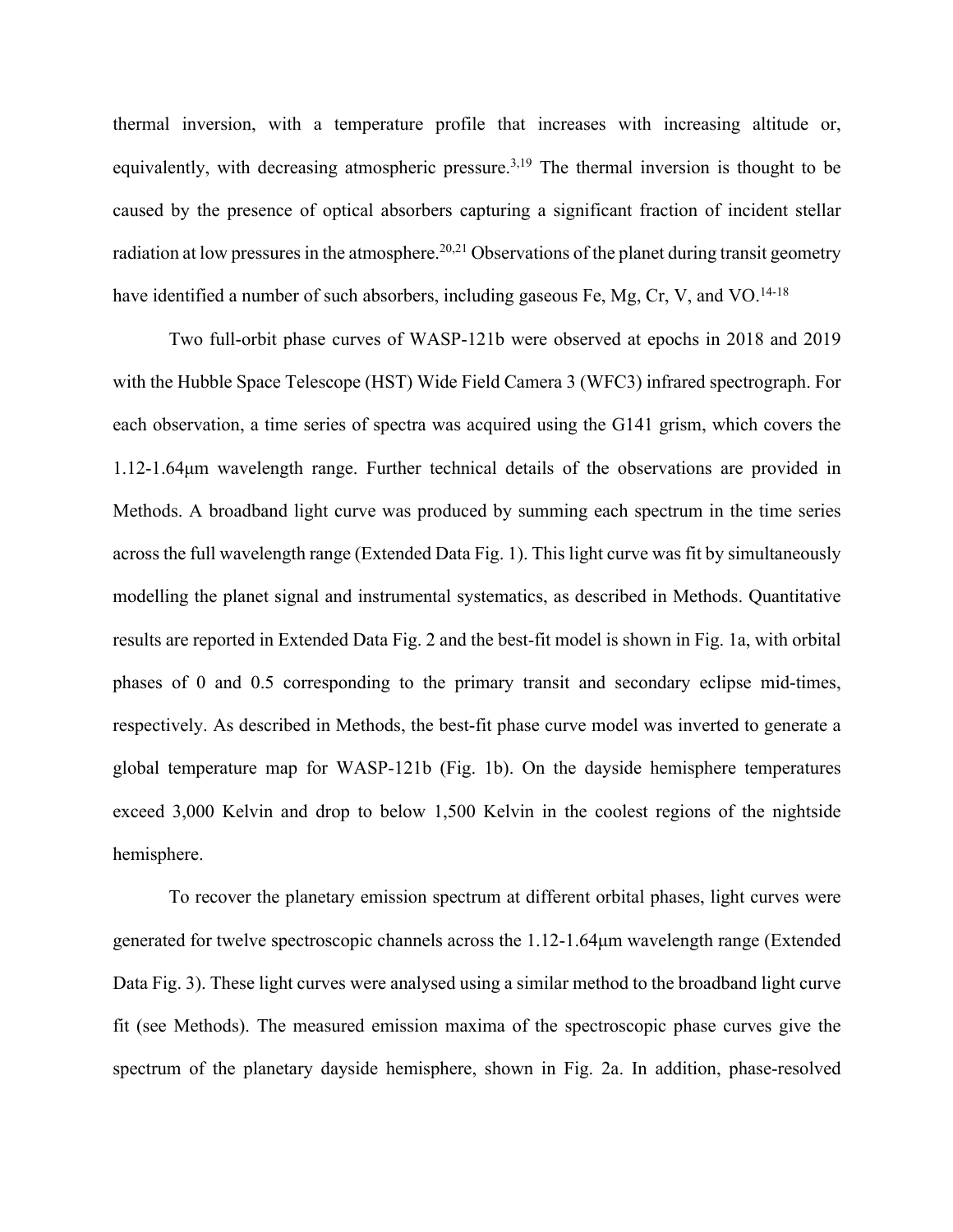thermal inversion, with a temperature profile that increases with increasing altitude or, equivalently, with decreasing atmospheric pressure.<sup>3,19</sup> The thermal inversion is thought to be caused by the presence of optical absorbers capturing a significant fraction of incident stellar radiation at low pressures in the atmosphere.<sup>20,21</sup> Observations of the planet during transit geometry have identified a number of such absorbers, including gaseous Fe, Mg, Cr, V, and VO.<sup>14-18</sup>

Two full-orbit phase curves of WASP-121b were observed at epochs in 2018 and 2019 with the Hubble Space Telescope (HST) Wide Field Camera 3 (WFC3) infrared spectrograph. For each observation, a time series of spectra was acquired using the G141 grism, which covers the 1.12-1.64μm wavelength range. Further technical details of the observations are provided in Methods. A broadband light curve was produced by summing each spectrum in the time series across the full wavelength range (Extended Data Fig. 1). This light curve was fit by simultaneously modelling the planet signal and instrumental systematics, as described in Methods. Quantitative results are reported in Extended Data Fig. 2 and the best-fit model is shown in Fig. 1a, with orbital phases of 0 and 0.5 corresponding to the primary transit and secondary eclipse mid-times, respectively. As described in Methods, the best-fit phase curve model was inverted to generate a global temperature map for WASP-121b (Fig. 1b). On the dayside hemisphere temperatures exceed 3,000 Kelvin and drop to below 1,500 Kelvin in the coolest regions of the nightside hemisphere.

To recover the planetary emission spectrum at different orbital phases, light curves were generated for twelve spectroscopic channels across the 1.12-1.64μm wavelength range (Extended Data Fig. 3). These light curves were analysed using a similar method to the broadband light curve fit (see Methods). The measured emission maxima of the spectroscopic phase curves give the spectrum of the planetary dayside hemisphere, shown in Fig. 2a. In addition, phase-resolved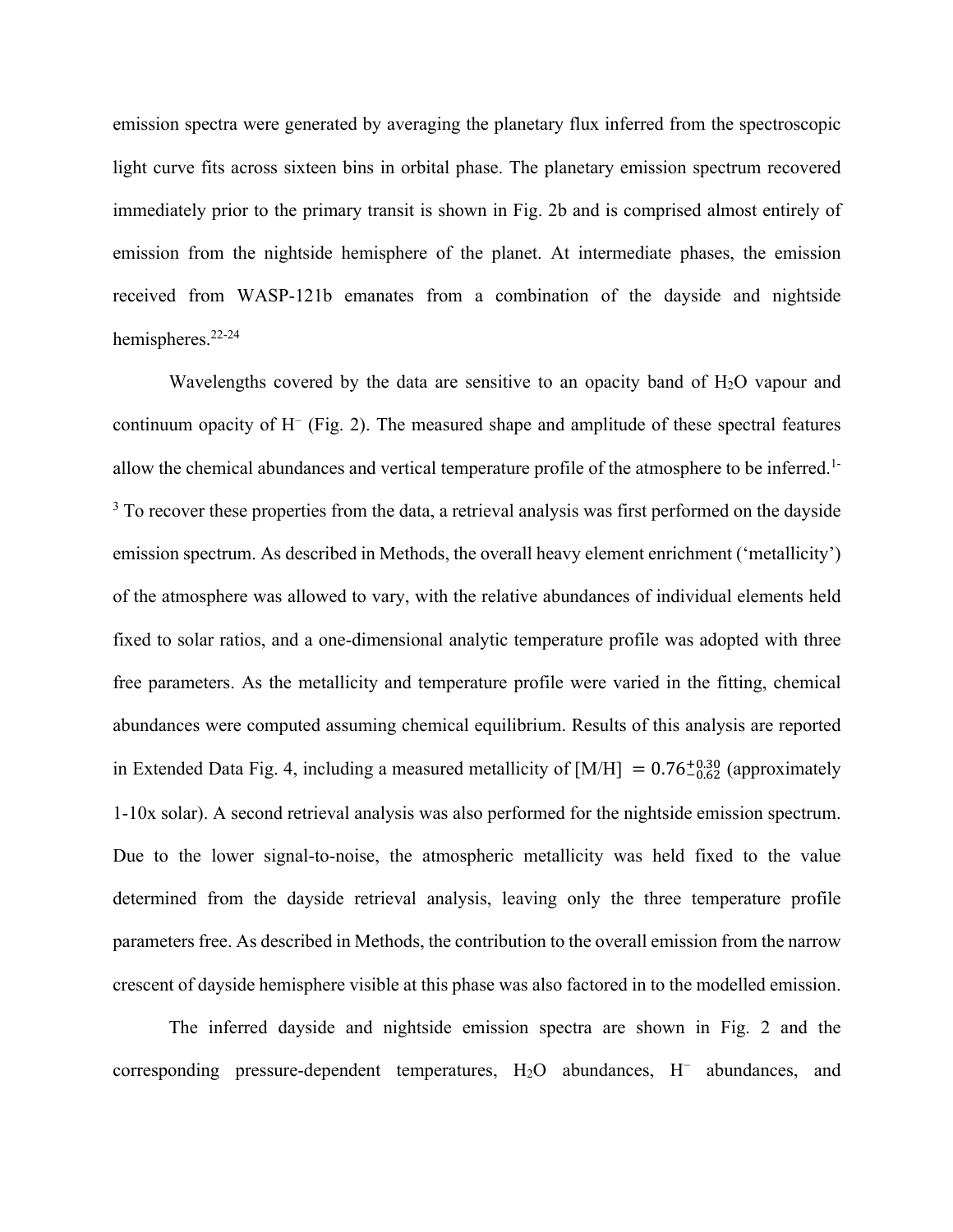emission spectra were generated by averaging the planetary flux inferred from the spectroscopic light curve fits across sixteen bins in orbital phase. The planetary emission spectrum recovered immediately prior to the primary transit is shown in Fig. 2b and is comprised almost entirely of emission from the nightside hemisphere of the planet. At intermediate phases, the emission received from WASP-121b emanates from a combination of the dayside and nightside hemispheres. 22-24

Wavelengths covered by the data are sensitive to an opacity band of  $H_2O$  vapour and continuum opacity of H− (Fig. 2). The measured shape and amplitude of these spectral features allow the chemical abundances and vertical temperature profile of the atmosphere to be inferred. 1- <sup>3</sup> To recover these properties from the data, a retrieval analysis was first performed on the dayside emission spectrum. As described in Methods, the overall heavy element enrichment ('metallicity') of the atmosphere was allowed to vary, with the relative abundances of individual elements held fixed to solar ratios, and a one-dimensional analytic temperature profile was adopted with three free parameters. As the metallicity and temperature profile were varied in the fitting, chemical abundances were computed assuming chemical equilibrium. Results of this analysis are reported in Extended Data Fig. 4, including a measured metallicity of  $[M/H] = 0.76^{+0.30}_{-0.62}$  (approximately 1-10x solar). A second retrieval analysis was also performed for the nightside emission spectrum. Due to the lower signal-to-noise, the atmospheric metallicity was held fixed to the value determined from the dayside retrieval analysis, leaving only the three temperature profile parameters free. As described in Methods, the contribution to the overall emission from the narrow crescent of dayside hemisphere visible at this phase was also factored in to the modelled emission.

The inferred dayside and nightside emission spectra are shown in Fig. 2 and the corresponding pressure-dependent temperatures, H2O abundances, H− abundances, and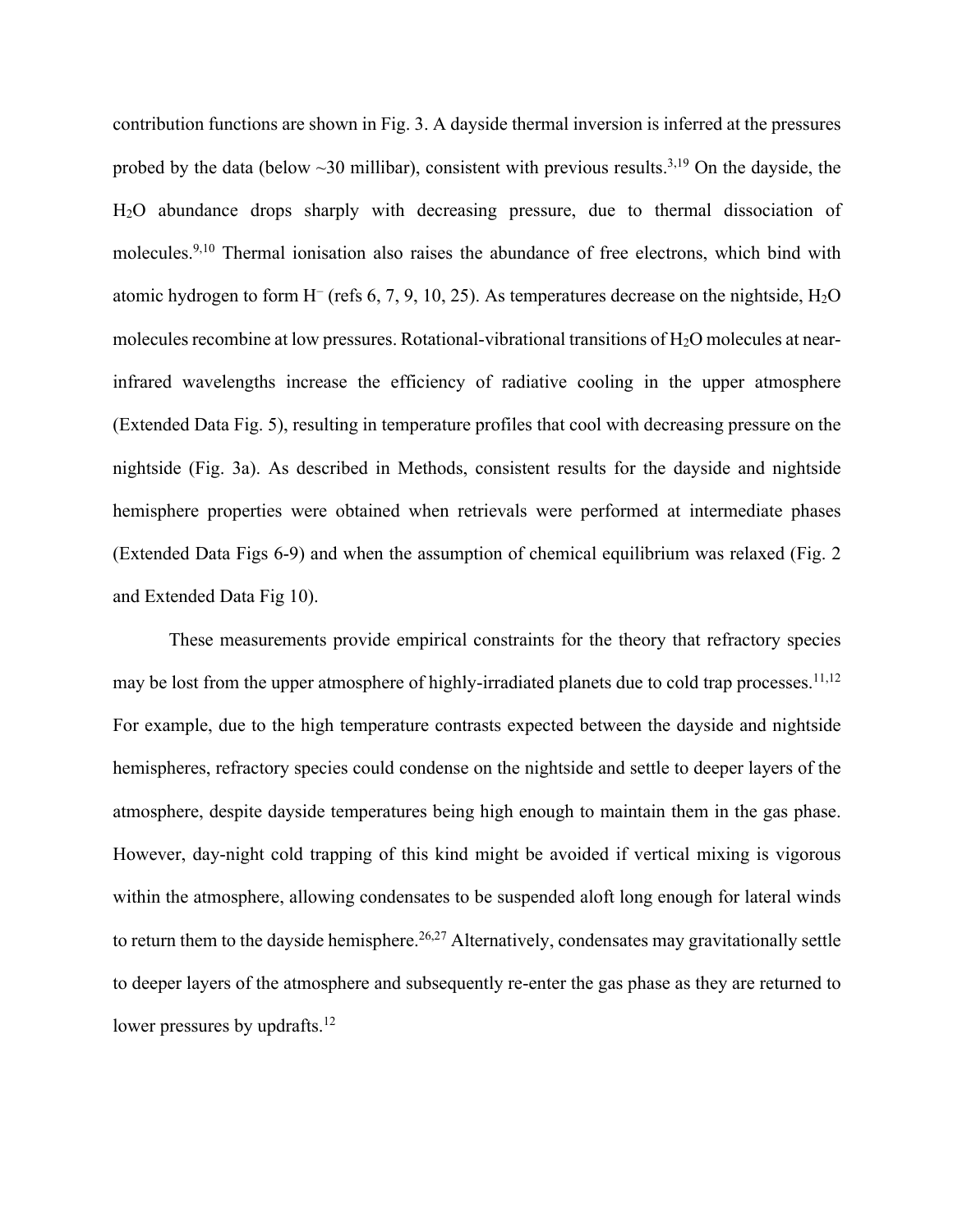contribution functions are shown in Fig. 3. A dayside thermal inversion is inferred at the pressures probed by the data (below  $\sim$ 30 millibar), consistent with previous results.<sup>3,19</sup> On the dayside, the H2O abundance drops sharply with decreasing pressure, due to thermal dissociation of molecules. 9,10 Thermal ionisation also raises the abundance of free electrons, which bind with atomic hydrogen to form H− (refs 6, 7, 9, 10, 25). As temperatures decrease on the nightside, H2O molecules recombine at low pressures. Rotational-vibrational transitions of H2O molecules at nearinfrared wavelengths increase the efficiency of radiative cooling in the upper atmosphere (Extended Data Fig. 5), resulting in temperature profiles that cool with decreasing pressure on the nightside (Fig. 3a). As described in Methods, consistent results for the dayside and nightside hemisphere properties were obtained when retrievals were performed at intermediate phases (Extended Data Figs 6-9) and when the assumption of chemical equilibrium was relaxed (Fig. 2 and Extended Data Fig 10).

These measurements provide empirical constraints for the theory that refractory species may be lost from the upper atmosphere of highly-irradiated planets due to cold trap processes.<sup>11,12</sup> For example, due to the high temperature contrasts expected between the dayside and nightside hemispheres, refractory species could condense on the nightside and settle to deeper layers of the atmosphere, despite dayside temperatures being high enough to maintain them in the gas phase. However, day-night cold trapping of this kind might be avoided if vertical mixing is vigorous within the atmosphere, allowing condensates to be suspended aloft long enough for lateral winds to return them to the dayside hemisphere.<sup>26,27</sup> Alternatively, condensates may gravitationally settle to deeper layers of the atmosphere and subsequently re-enter the gas phase as they are returned to lower pressures by updrafts.<sup>12</sup>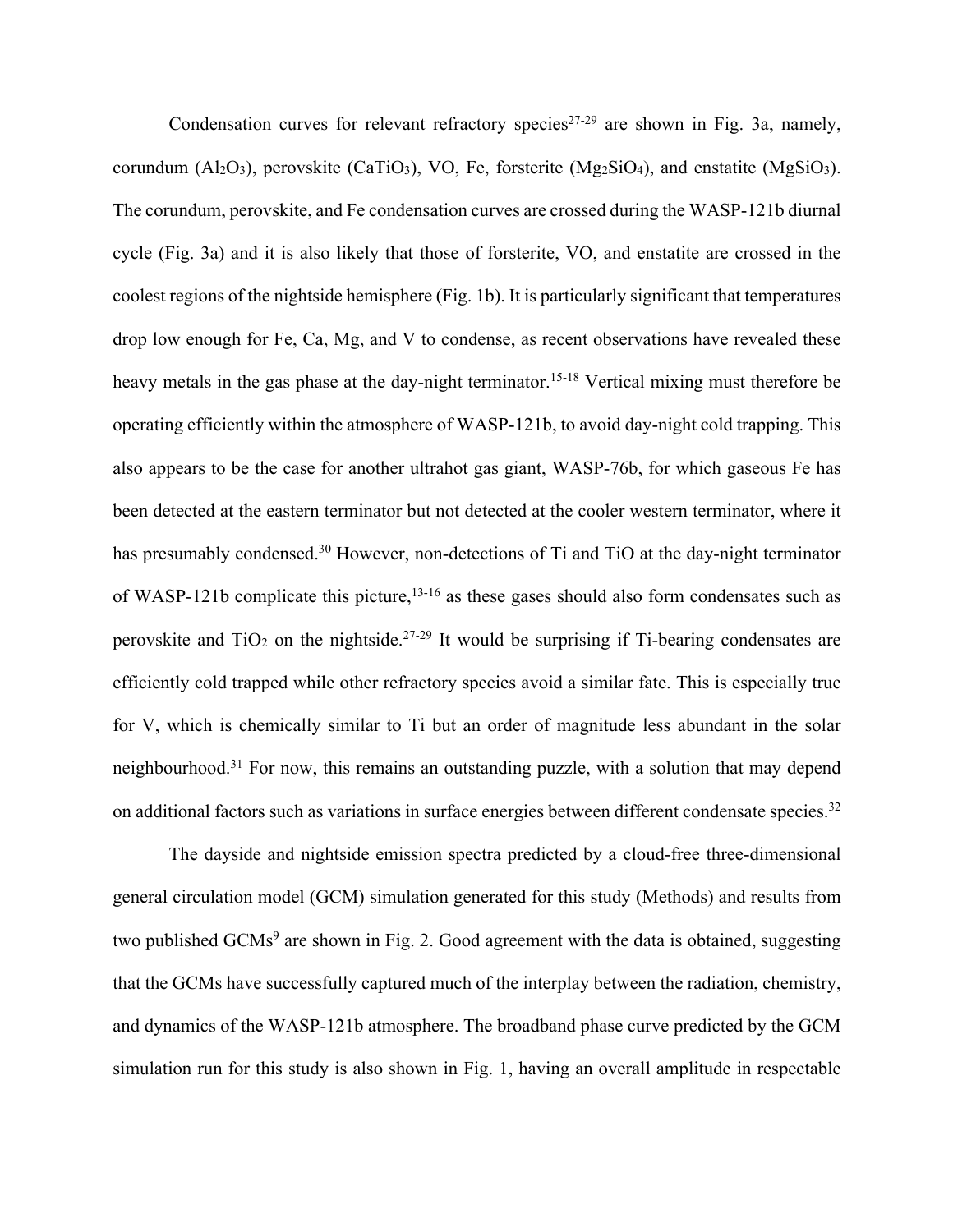Condensation curves for relevant refractory species<sup>27-29</sup> are shown in Fig. 3a, namely, corundum  $(Al_2O_3)$ , perovskite (CaTiO<sub>3</sub>), VO, Fe, forsterite (Mg<sub>2</sub>SiO<sub>4</sub>), and enstatite (MgSiO<sub>3</sub>). The corundum, perovskite, and Fe condensation curves are crossed during the WASP-121b diurnal cycle (Fig. 3a) and it is also likely that those of forsterite, VO, and enstatite are crossed in the coolest regions of the nightside hemisphere (Fig. 1b). It is particularly significant that temperatures drop low enough for Fe, Ca, Mg, and V to condense, as recent observations have revealed these heavy metals in the gas phase at the day-night terminator.<sup>15-18</sup> Vertical mixing must therefore be operating efficiently within the atmosphere of WASP-121b, to avoid day-night cold trapping. This also appears to be the case for another ultrahot gas giant, WASP-76b, for which gaseous Fe has been detected at the eastern terminator but not detected at the cooler western terminator, where it has presumably condensed.<sup>30</sup> However, non-detections of Ti and TiO at the day-night terminator of WASP-121b complicate this picture,  $13-16$  as these gases should also form condensates such as perovskite and  $TiO<sub>2</sub>$  on the nightside.<sup>27-29</sup> It would be surprising if Ti-bearing condensates are efficiently cold trapped while other refractory species avoid a similar fate. This is especially true for V, which is chemically similar to Ti but an order of magnitude less abundant in the solar neighbourhood.31 For now, this remains an outstanding puzzle, with a solution that may depend on additional factors such as variations in surface energies between different condensate species.<sup>32</sup>

The dayside and nightside emission spectra predicted by a cloud-free three-dimensional general circulation model (GCM) simulation generated for this study (Methods) and results from two published  $GCMs<sup>9</sup>$  are shown in Fig. 2. Good agreement with the data is obtained, suggesting that the GCMs have successfully captured much of the interplay between the radiation, chemistry, and dynamics of the WASP-121b atmosphere. The broadband phase curve predicted by the GCM simulation run for this study is also shown in Fig. 1, having an overall amplitude in respectable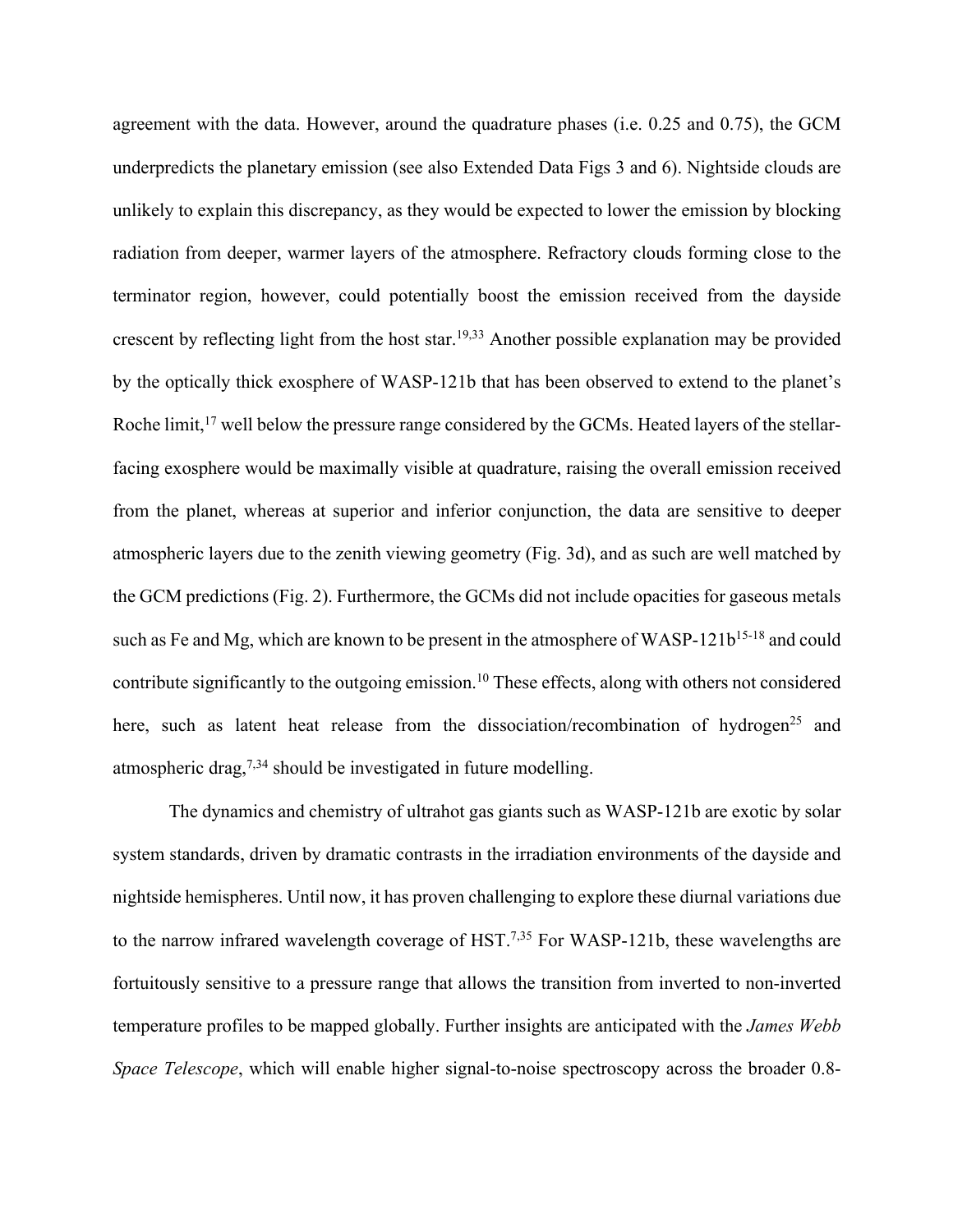agreement with the data. However, around the quadrature phases (i.e. 0.25 and 0.75), the GCM underpredicts the planetary emission (see also Extended Data Figs 3 and 6). Nightside clouds are unlikely to explain this discrepancy, as they would be expected to lower the emission by blocking radiation from deeper, warmer layers of the atmosphere. Refractory clouds forming close to the terminator region, however, could potentially boost the emission received from the dayside crescent by reflecting light from the host star.19,33 Another possible explanation may be provided by the optically thick exosphere of WASP-121b that has been observed to extend to the planet's Roche limit,<sup>17</sup> well below the pressure range considered by the GCMs. Heated layers of the stellarfacing exosphere would be maximally visible at quadrature, raising the overall emission received from the planet, whereas at superior and inferior conjunction, the data are sensitive to deeper atmospheric layers due to the zenith viewing geometry (Fig. 3d), and as such are well matched by the GCM predictions (Fig. 2). Furthermore, the GCMs did not include opacities for gaseous metals such as Fe and Mg, which are known to be present in the atmosphere of WASP-121b<sup>15-18</sup> and could contribute significantly to the outgoing emission. <sup>10</sup> These effects, along with others not considered here, such as latent heat release from the dissociation/recombination of hydrogen<sup>25</sup> and atmospheric drag,  $7,34$  should be investigated in future modelling.

The dynamics and chemistry of ultrahot gas giants such as WASP-121b are exotic by solar system standards, driven by dramatic contrasts in the irradiation environments of the dayside and nightside hemispheres. Until now, it has proven challenging to explore these diurnal variations due to the narrow infrared wavelength coverage of HST.<sup>7,35</sup> For WASP-121b, these wavelengths are fortuitously sensitive to a pressure range that allows the transition from inverted to non-inverted temperature profiles to be mapped globally. Further insights are anticipated with the *James Webb Space Telescope*, which will enable higher signal-to-noise spectroscopy across the broader 0.8-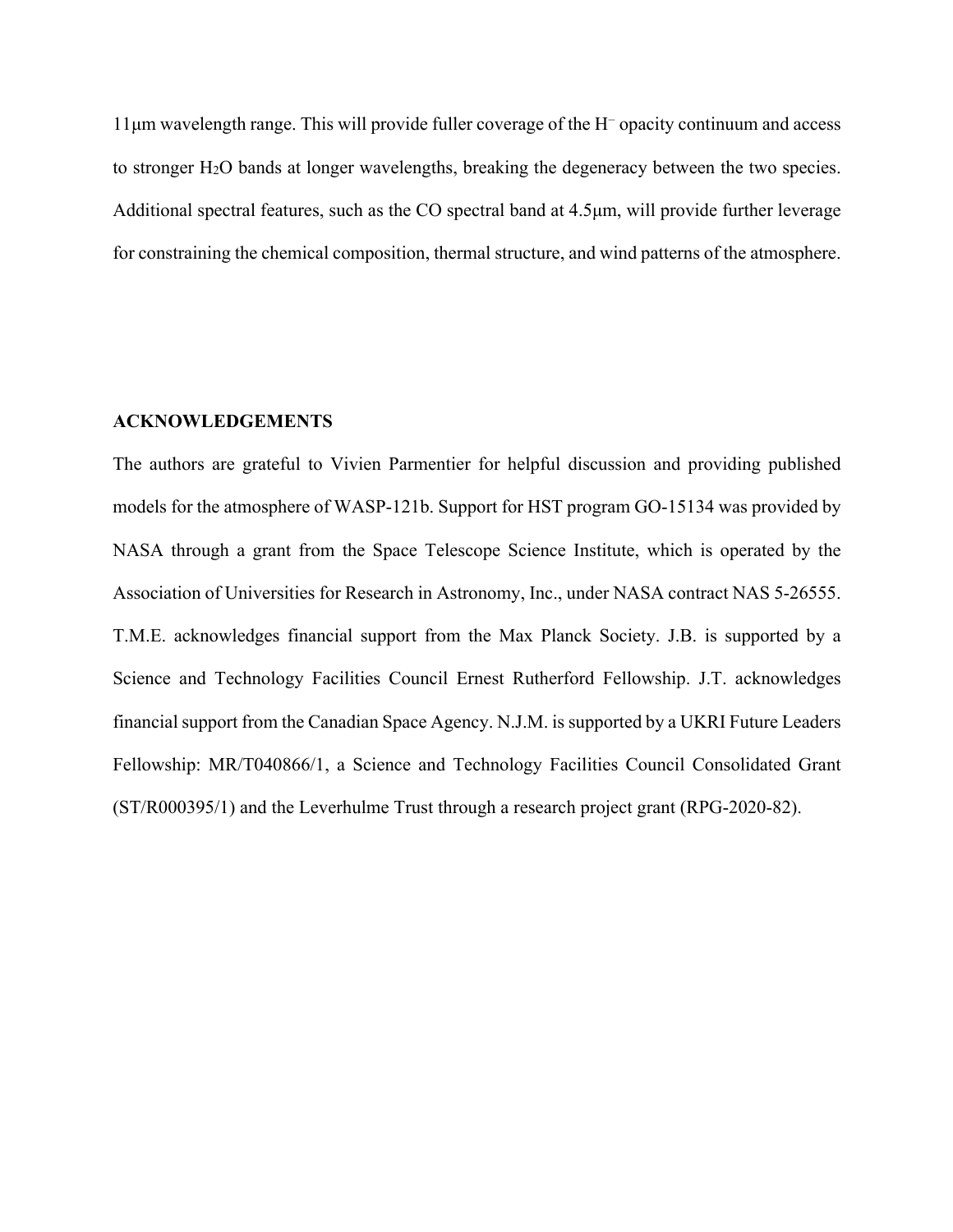11μm wavelength range. This will provide fuller coverage of the H− opacity continuum and access to stronger H2O bands at longer wavelengths, breaking the degeneracy between the two species. Additional spectral features, such as the CO spectral band at 4.5μm, will provide further leverage for constraining the chemical composition, thermal structure, and wind patterns of the atmosphere.

## **ACKNOWLEDGEMENTS**

The authors are grateful to Vivien Parmentier for helpful discussion and providing published models for the atmosphere of WASP-121b. Support for HST program GO-15134 was provided by NASA through a grant from the Space Telescope Science Institute, which is operated by the Association of Universities for Research in Astronomy, Inc., under NASA contract NAS 5-26555. T.M.E. acknowledges financial support from the Max Planck Society. J.B. is supported by a Science and Technology Facilities Council Ernest Rutherford Fellowship. J.T. acknowledges financial support from the Canadian Space Agency. N.J.M. is supported by a UKRI Future Leaders Fellowship: MR/T040866/1, a Science and Technology Facilities Council Consolidated Grant (ST/R000395/1) and the Leverhulme Trust through a research project grant (RPG-2020-82).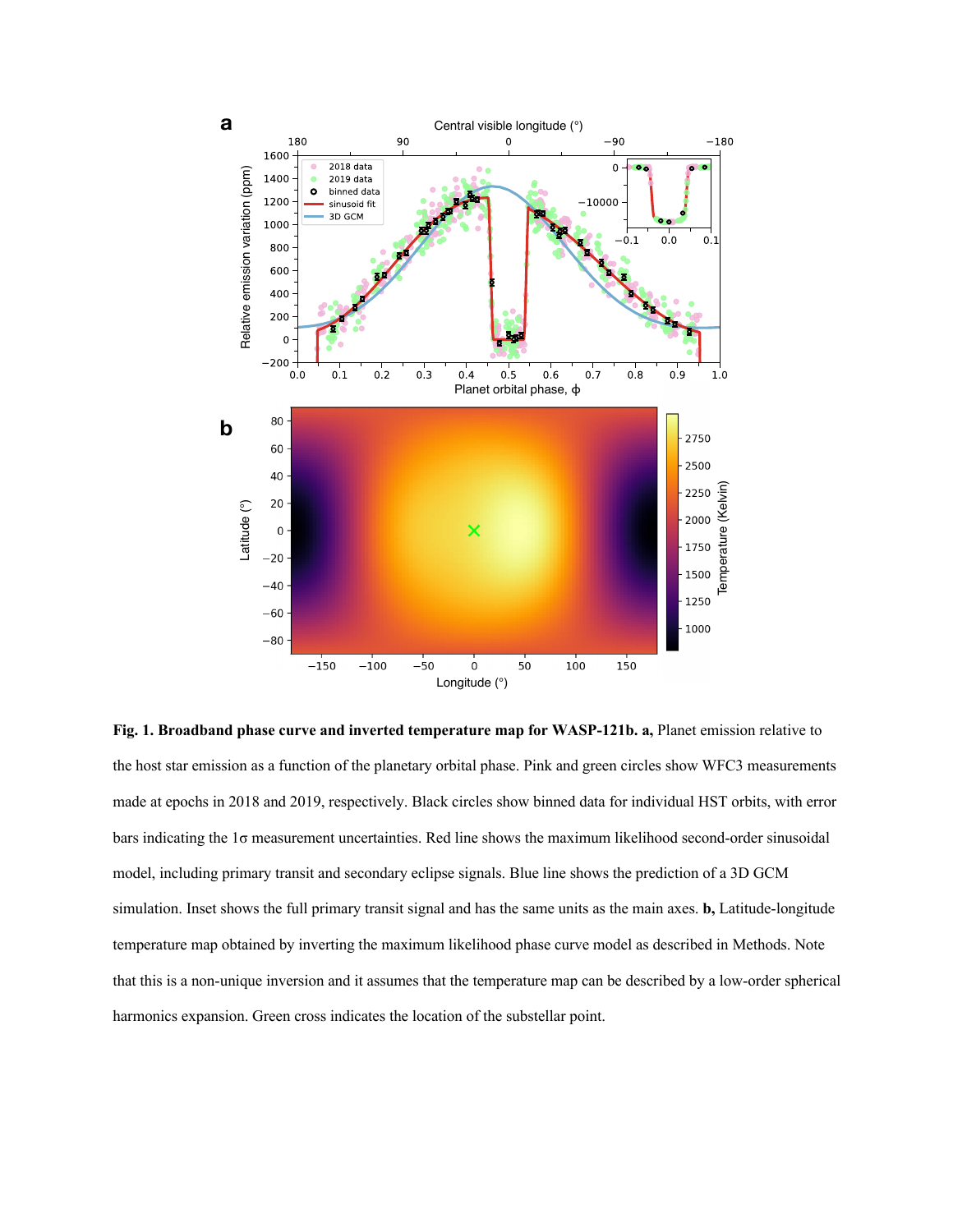

**Fig. 1. Broadband phase curve and inverted temperature map for WASP-121b. a,** Planet emission relative to the host star emission as a function of the planetary orbital phase. Pink and green circles show WFC3 measurements made at epochs in 2018 and 2019, respectively. Black circles show binned data for individual HST orbits, with error bars indicating the 1σ measurement uncertainties. Red line shows the maximum likelihood second-order sinusoidal model, including primary transit and secondary eclipse signals. Blue line shows the prediction of a 3D GCM simulation. Inset shows the full primary transit signal and has the same units as the main axes. **b,** Latitude-longitude temperature map obtained by inverting the maximum likelihood phase curve model as described in Methods. Note that this is a non-unique inversion and it assumes that the temperature map can be described by a low-order spherical harmonics expansion. Green cross indicates the location of the substellar point.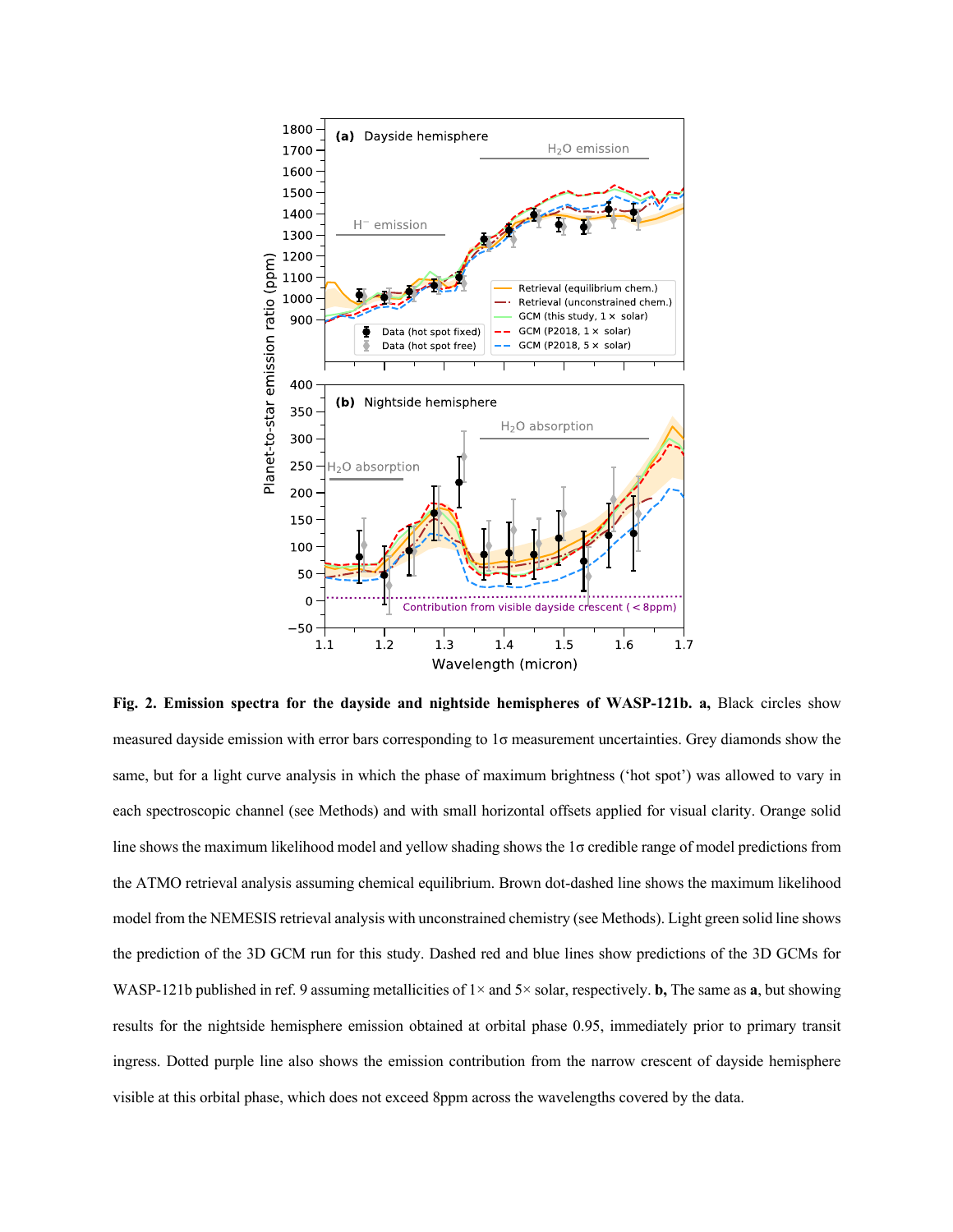

**Fig. 2. Emission spectra for the dayside and nightside hemispheres of WASP-121b. a,** Black circles show measured dayside emission with error bars corresponding to 1σ measurement uncertainties. Grey diamonds show the same, but for a light curve analysis in which the phase of maximum brightness ('hot spot') was allowed to vary in each spectroscopic channel (see Methods) and with small horizontal offsets applied for visual clarity. Orange solid line shows the maximum likelihood model and yellow shading shows the 1σ credible range of model predictions from the ATMO retrieval analysis assuming chemical equilibrium. Brown dot-dashed line shows the maximum likelihood model from the NEMESIS retrieval analysis with unconstrained chemistry (see Methods). Light green solid line shows the prediction of the 3D GCM run for this study. Dashed red and blue lines show predictions of the 3D GCMs for WASP-121b published in ref. 9 assuming metallicities of 1× and 5× solar, respectively. **b,** The same as **a**, but showing results for the nightside hemisphere emission obtained at orbital phase 0.95, immediately prior to primary transit ingress. Dotted purple line also shows the emission contribution from the narrow crescent of dayside hemisphere visible at this orbital phase, which does not exceed 8ppm across the wavelengths covered by the data.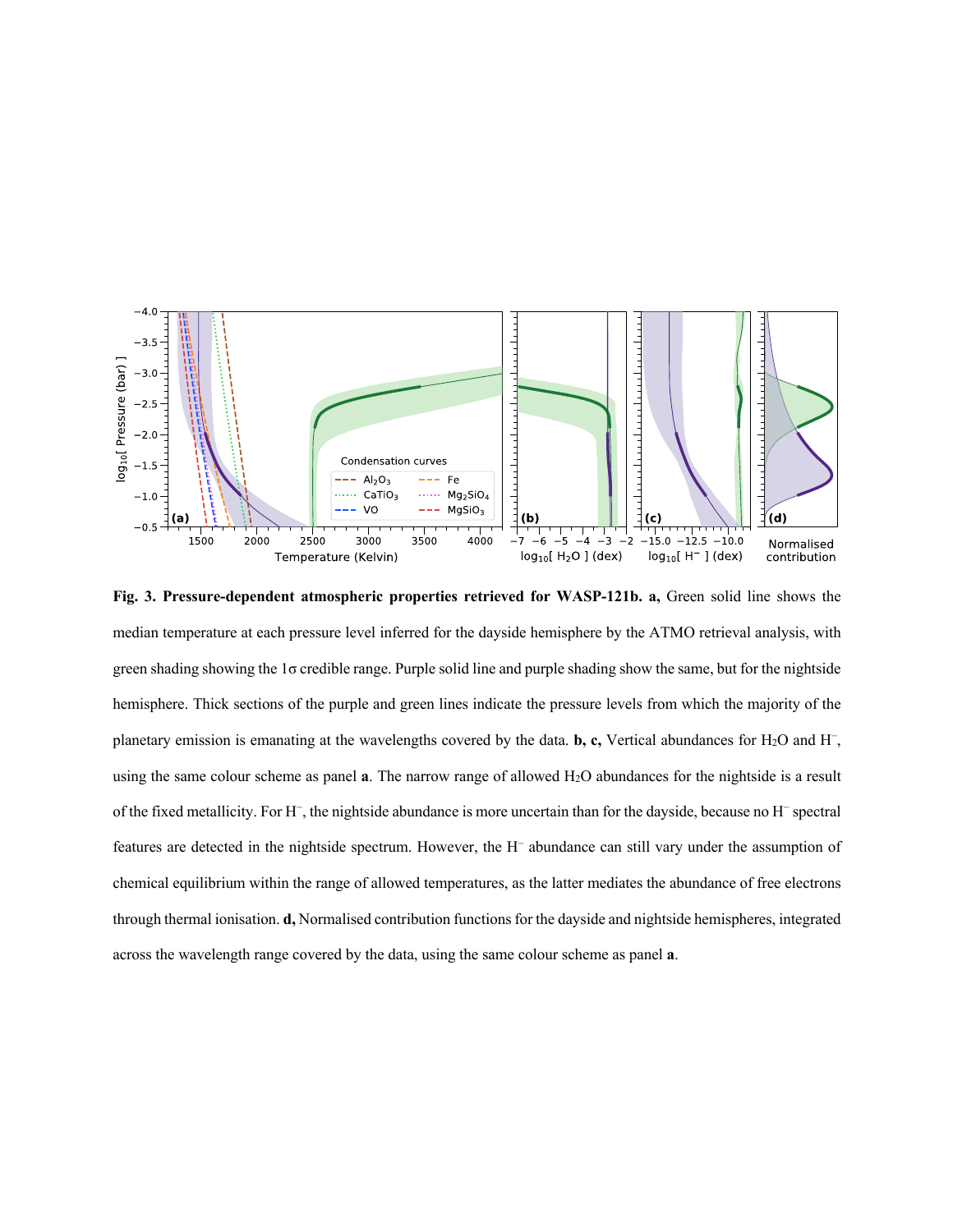

**Fig. 3. Pressure-dependent atmospheric properties retrieved for WASP-121b. a,** Green solid line shows the median temperature at each pressure level inferred for the dayside hemisphere by the ATMO retrieval analysis, with green shading showing the 1σ credible range. Purple solid line and purple shading show the same, but for the nightside hemisphere. Thick sections of the purple and green lines indicate the pressure levels from which the majority of the planetary emission is emanating at the wavelengths covered by the data. **b, c,** Vertical abundances for H2O and H−, using the same colour scheme as panel **a**. The narrow range of allowed H2O abundances for the nightside is a result of the fixed metallicity. For H−, the nightside abundance is more uncertain than for the dayside, because no H− spectral features are detected in the nightside spectrum. However, the H− abundance can still vary under the assumption of chemical equilibrium within the range of allowed temperatures, as the latter mediates the abundance of free electrons through thermal ionisation. **d,** Normalised contribution functions for the dayside and nightside hemispheres, integrated across the wavelength range covered by the data, using the same colour scheme as panel **a**.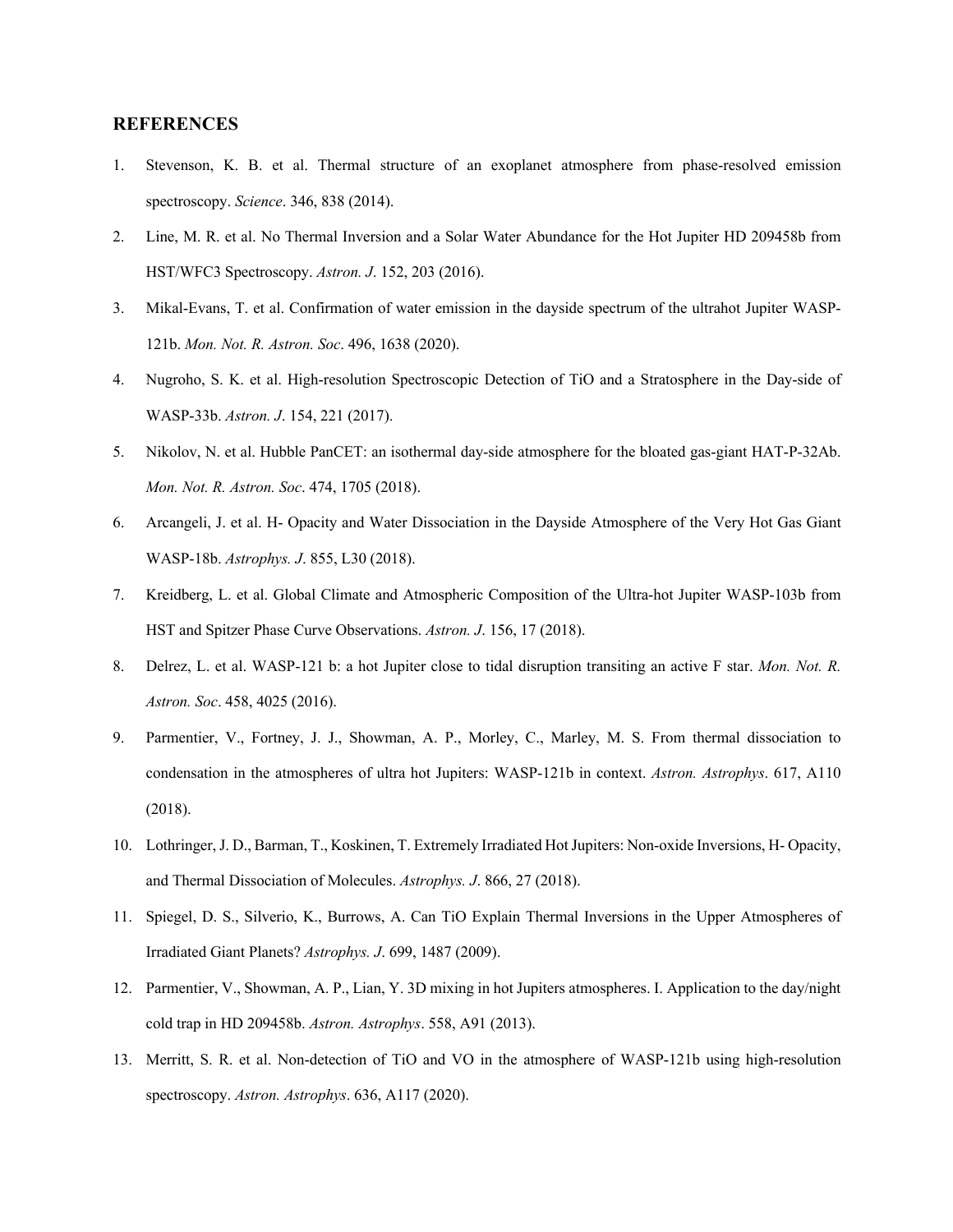#### **REFERENCES**

- 1. Stevenson, K. B. et al. Thermal structure of an exoplanet atmosphere from phase-resolved emission spectroscopy. *Science*. 346, 838 (2014).
- 2. Line, M. R. et al. No Thermal Inversion and a Solar Water Abundance for the Hot Jupiter HD 209458b from HST/WFC3 Spectroscopy. *Astron. J*. 152, 203 (2016).
- 3. Mikal-Evans, T. et al. Confirmation of water emission in the dayside spectrum of the ultrahot Jupiter WASP-121b. *Mon. Not. R. Astron. Soc*. 496, 1638 (2020).
- 4. Nugroho, S. K. et al. High-resolution Spectroscopic Detection of TiO and a Stratosphere in the Day-side of WASP-33b. *Astron. J*. 154, 221 (2017).
- 5. Nikolov, N. et al. Hubble PanCET: an isothermal day-side atmosphere for the bloated gas-giant HAT-P-32Ab. *Mon. Not. R. Astron. Soc*. 474, 1705 (2018).
- 6. Arcangeli, J. et al. H- Opacity and Water Dissociation in the Dayside Atmosphere of the Very Hot Gas Giant WASP-18b. *Astrophys. J*. 855, L30 (2018).
- 7. Kreidberg, L. et al. Global Climate and Atmospheric Composition of the Ultra-hot Jupiter WASP-103b from HST and Spitzer Phase Curve Observations. *Astron. J*. 156, 17 (2018).
- 8. Delrez, L. et al. WASP-121 b: a hot Jupiter close to tidal disruption transiting an active F star. *Mon. Not. R. Astron. Soc*. 458, 4025 (2016).
- 9. Parmentier, V., Fortney, J. J., Showman, A. P., Morley, C., Marley, M. S. From thermal dissociation to condensation in the atmospheres of ultra hot Jupiters: WASP-121b in context. *Astron. Astrophys*. 617, A110 (2018).
- 10. Lothringer, J. D., Barman, T., Koskinen, T. Extremely Irradiated Hot Jupiters: Non-oxide Inversions, H- Opacity, and Thermal Dissociation of Molecules. *Astrophys. J*. 866, 27 (2018).
- 11. Spiegel, D. S., Silverio, K., Burrows, A. Can TiO Explain Thermal Inversions in the Upper Atmospheres of Irradiated Giant Planets? *Astrophys. J*. 699, 1487 (2009).
- 12. Parmentier, V., Showman, A. P., Lian, Y. 3D mixing in hot Jupiters atmospheres. I. Application to the day/night cold trap in HD 209458b. *Astron. Astrophys*. 558, A91 (2013).
- 13. Merritt, S. R. et al. Non-detection of TiO and VO in the atmosphere of WASP-121b using high-resolution spectroscopy. *Astron. Astrophys*. 636, A117 (2020).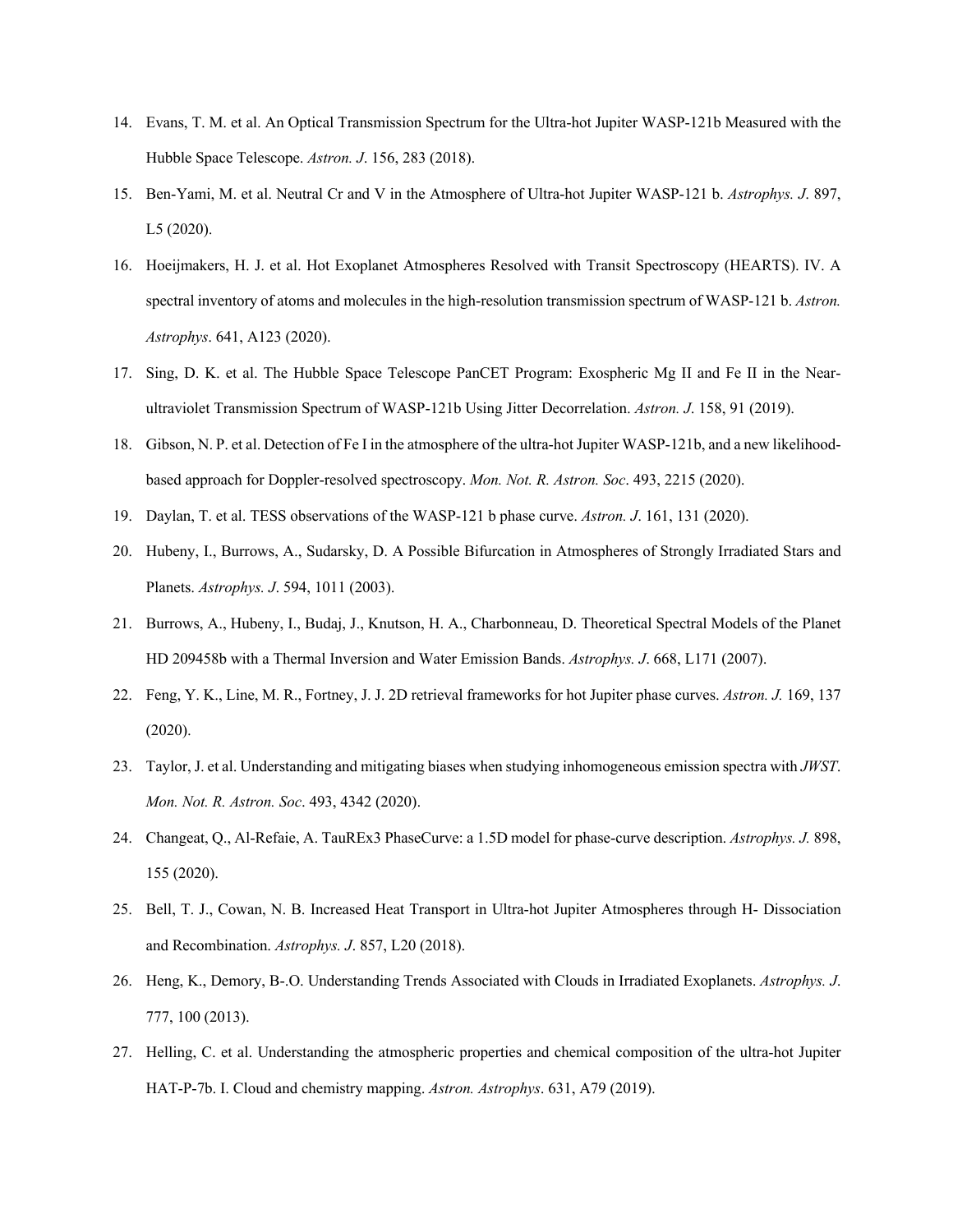- 14. Evans, T. M. et al. An Optical Transmission Spectrum for the Ultra-hot Jupiter WASP-121b Measured with the Hubble Space Telescope. *Astron. J*. 156, 283 (2018).
- 15. Ben-Yami, M. et al. Neutral Cr and V in the Atmosphere of Ultra-hot Jupiter WASP-121 b. *Astrophys. J*. 897, L5 (2020).
- 16. Hoeijmakers, H. J. et al. Hot Exoplanet Atmospheres Resolved with Transit Spectroscopy (HEARTS). IV. A spectral inventory of atoms and molecules in the high-resolution transmission spectrum of WASP-121 b. *Astron. Astrophys*. 641, A123 (2020).
- 17. Sing, D. K. et al. The Hubble Space Telescope PanCET Program: Exospheric Mg II and Fe II in the Nearultraviolet Transmission Spectrum of WASP-121b Using Jitter Decorrelation. *Astron. J*. 158, 91 (2019).
- 18. Gibson, N. P. et al. Detection of Fe I in the atmosphere of the ultra-hot Jupiter WASP-121b, and a new likelihoodbased approach for Doppler-resolved spectroscopy. *Mon. Not. R. Astron. Soc*. 493, 2215 (2020).
- 19. Daylan, T. et al. TESS observations of the WASP-121 b phase curve. *Astron. J*. 161, 131 (2020).
- 20. Hubeny, I., Burrows, A., Sudarsky, D. A Possible Bifurcation in Atmospheres of Strongly Irradiated Stars and Planets. *Astrophys. J*. 594, 1011 (2003).
- 21. Burrows, A., Hubeny, I., Budaj, J., Knutson, H. A., Charbonneau, D. Theoretical Spectral Models of the Planet HD 209458b with a Thermal Inversion and Water Emission Bands. *Astrophys. J*. 668, L171 (2007).
- 22. Feng, Y. K., Line, M. R., Fortney, J. J. 2D retrieval frameworks for hot Jupiter phase curves. *Astron. J.* 169, 137 (2020).
- 23. Taylor, J. et al. Understanding and mitigating biases when studying inhomogeneous emission spectra with *JWST*. *Mon. Not. R. Astron. Soc*. 493, 4342 (2020).
- 24. Changeat, Q., Al-Refaie, A. TauREx3 PhaseCurve: a 1.5D model for phase-curve description. *Astrophys. J.* 898, 155 (2020).
- 25. Bell, T. J., Cowan, N. B. Increased Heat Transport in Ultra-hot Jupiter Atmospheres through H- Dissociation and Recombination. *Astrophys. J*. 857, L20 (2018).
- 26. Heng, K., Demory, B-.O. Understanding Trends Associated with Clouds in Irradiated Exoplanets. *Astrophys. J*. 777, 100 (2013).
- 27. Helling, C. et al. Understanding the atmospheric properties and chemical composition of the ultra-hot Jupiter HAT-P-7b. I. Cloud and chemistry mapping. *Astron. Astrophys*. 631, A79 (2019).